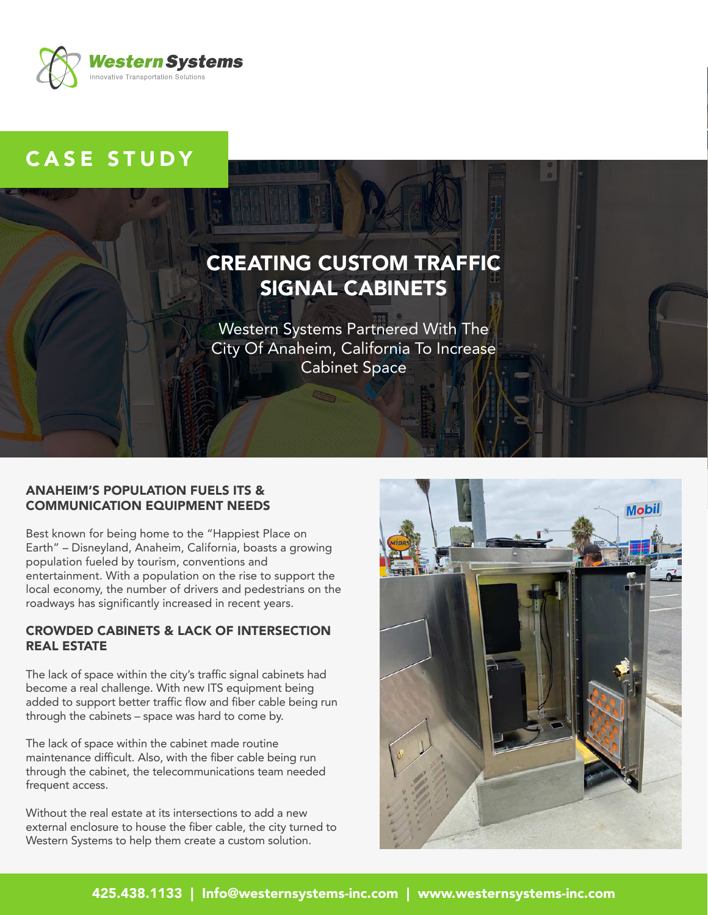

## CASE STUDY

# CREATING CUSTOM TRAFFIC SIGNAL CABINETS

Western Systems Partnered With The City Of Anaheim, California To Increase Cabinet Space

#### ANAHEIM'S POPULATION FUELS ITS & COMMUNICATION EQUIPMENT NEEDS

Best known for being home to the "Happiest Place on Earth" – Disneyland, Anaheim, California, boasts a growing population fueled by tourism, conventions and entertainment. With a population on the rise to support the local economy, the number of drivers and pedestrians on the roadways has significantly increased in recent years.

## CROWDED CABINETS & LACK OF INTERSECTION REAL ESTATE

The lack of space within the city's traffic signal cabinets had become a real challenge. With new ITS equipment being added to support better traffic flow and fiber cable being run through the cabinets – space was hard to come by.

The lack of space within the cabinet made routine maintenance difficult. Also, with the fiber cable being run through the cabinet, the telecommunications team needed frequent access.

Without the real estate at its intersections to add a new external enclosure to house the fiber cable, the city turned to Western Systems to help them create a custom solution.